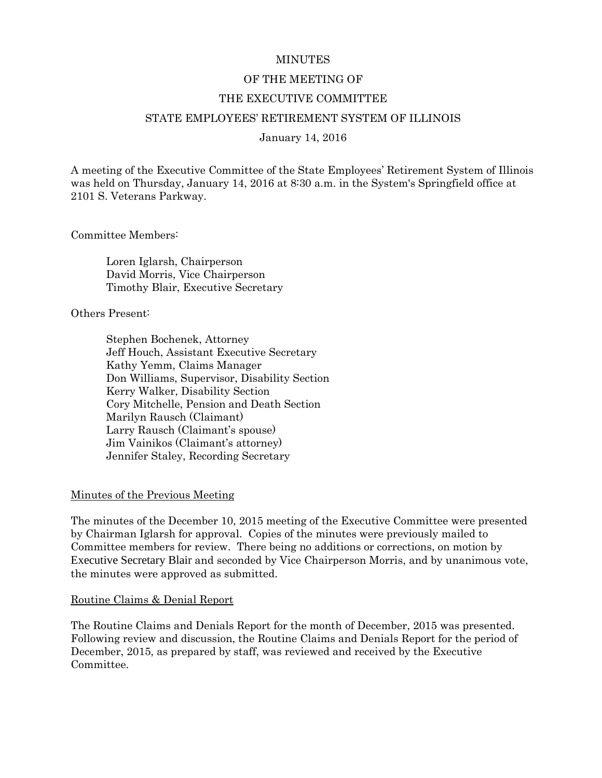## **MINUTES**

## OF THE MEETING OF

### THE EXECUTIVE COMMITTEE

## STATE EMPLOYEES' RETIREMENT SYSTEM OF ILLINOIS

### January 14, 2016

A meeting of the Executive Committee of the State Employees' Retirement System of Illinois was held on Thursday, January 14, 2016 at 8:30 a.m. in the System's Springfield office at 2101 S. Veterans Parkway.

Committee Members:

Loren Iglarsh, Chairperson David Morris, Vice Chairperson Timothy Blair, Executive Secretary

Others Present:

Stephen Bochenek, Attorney Jeff Houch, Assistant Executive Secretary Kathy Yemm, Claims Manager Don Williams, Supervisor, Disability Section Kerry Walker, Disability Section Cory Mitchelle, Pension and Death Section Marilyn Rausch (Claimant) Larry Rausch (Claimant's spouse) Jim Vainikos (Claimant's attorney) Jennifer Staley, Recording Secretary

## Minutes of the Previous Meeting

The minutes of the December 10, 2015 meeting of the Executive Committee were presented by Chairman Iglarsh for approval. Copies of the minutes were previously mailed to Committee members for review. There being no additions or corrections, on motion by Executive Secretary Blair and seconded by Vice Chairperson Morris, and by unanimous vote, the minutes were approved as submitted.

#### Routine Claims & Denial Report

The Routine Claims and Denials Report for the month of December, 2015 was presented. Following review and discussion, the Routine Claims and Denials Report for the period of December, 2015, as prepared by staff, was reviewed and received by the Executive Committee.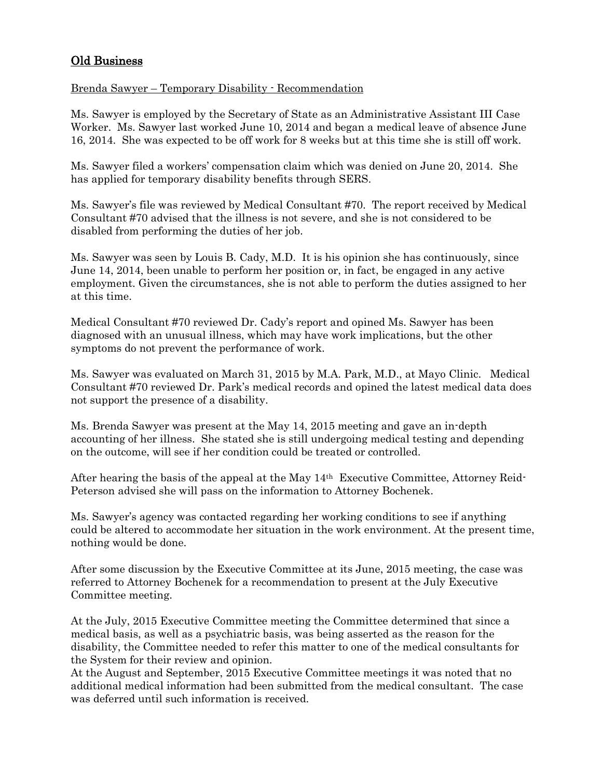# Old Business

## Brenda Sawyer – Temporary Disability - Recommendation

Ms. Sawyer is employed by the Secretary of State as an Administrative Assistant III Case Worker. Ms. Sawyer last worked June 10, 2014 and began a medical leave of absence June 16, 2014. She was expected to be off work for 8 weeks but at this time she is still off work.

Ms. Sawyer filed a workers' compensation claim which was denied on June 20, 2014. She has applied for temporary disability benefits through SERS.

Ms. Sawyer's file was reviewed by Medical Consultant #70. The report received by Medical Consultant #70 advised that the illness is not severe, and she is not considered to be disabled from performing the duties of her job.

Ms. Sawyer was seen by Louis B. Cady, M.D. It is his opinion she has continuously, since June 14, 2014, been unable to perform her position or, in fact, be engaged in any active employment. Given the circumstances, she is not able to perform the duties assigned to her at this time.

Medical Consultant #70 reviewed Dr. Cady's report and opined Ms. Sawyer has been diagnosed with an unusual illness, which may have work implications, but the other symptoms do not prevent the performance of work.

Ms. Sawyer was evaluated on March 31, 2015 by M.A. Park, M.D., at Mayo Clinic. Medical Consultant #70 reviewed Dr. Park's medical records and opined the latest medical data does not support the presence of a disability.

Ms. Brenda Sawyer was present at the May 14, 2015 meeting and gave an in-depth accounting of her illness. She stated she is still undergoing medical testing and depending on the outcome, will see if her condition could be treated or controlled.

After hearing the basis of the appeal at the May 14th Executive Committee, Attorney Reid-Peterson advised she will pass on the information to Attorney Bochenek.

Ms. Sawyer's agency was contacted regarding her working conditions to see if anything could be altered to accommodate her situation in the work environment. At the present time, nothing would be done.

After some discussion by the Executive Committee at its June, 2015 meeting, the case was referred to Attorney Bochenek for a recommendation to present at the July Executive Committee meeting.

At the July, 2015 Executive Committee meeting the Committee determined that since a medical basis, as well as a psychiatric basis, was being asserted as the reason for the disability, the Committee needed to refer this matter to one of the medical consultants for the System for their review and opinion.

At the August and September, 2015 Executive Committee meetings it was noted that no additional medical information had been submitted from the medical consultant. The case was deferred until such information is received.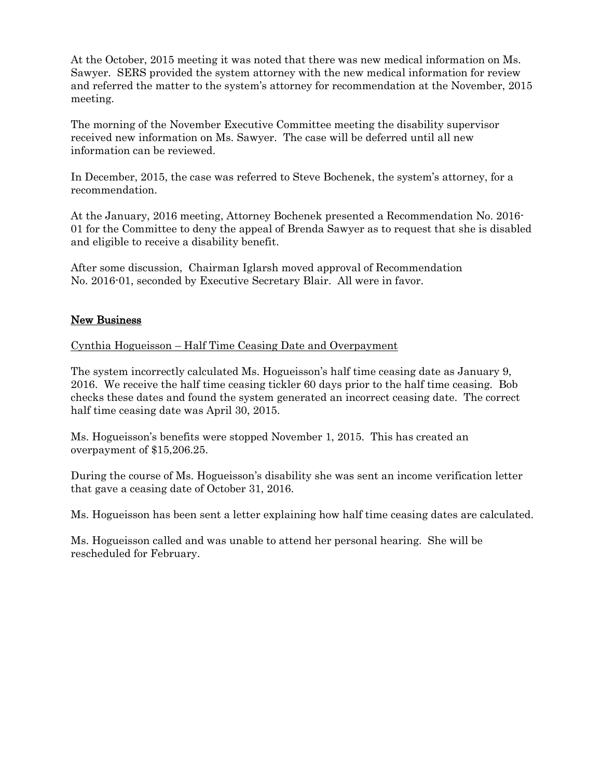At the October, 2015 meeting it was noted that there was new medical information on Ms. Sawyer. SERS provided the system attorney with the new medical information for review and referred the matter to the system's attorney for recommendation at the November, 2015 meeting.

The morning of the November Executive Committee meeting the disability supervisor received new information on Ms. Sawyer. The case will be deferred until all new information can be reviewed.

In December, 2015, the case was referred to Steve Bochenek, the system's attorney, for a recommendation.

At the January, 2016 meeting, Attorney Bochenek presented a Recommendation No. 2016- 01 for the Committee to deny the appeal of Brenda Sawyer as to request that she is disabled and eligible to receive a disability benefit.

After some discussion, Chairman Iglarsh moved approval of Recommendation No. 2016-01, seconded by Executive Secretary Blair. All were in favor.

# New Business

Cynthia Hogueisson – Half Time Ceasing Date and Overpayment

The system incorrectly calculated Ms. Hogueisson's half time ceasing date as January 9, 2016. We receive the half time ceasing tickler 60 days prior to the half time ceasing. Bob checks these dates and found the system generated an incorrect ceasing date. The correct half time ceasing date was April 30, 2015.

Ms. Hogueisson's benefits were stopped November 1, 2015. This has created an overpayment of \$15,206.25.

During the course of Ms. Hogueisson's disability she was sent an income verification letter that gave a ceasing date of October 31, 2016.

Ms. Hogueisson has been sent a letter explaining how half time ceasing dates are calculated.

Ms. Hogueisson called and was unable to attend her personal hearing. She will be rescheduled for February.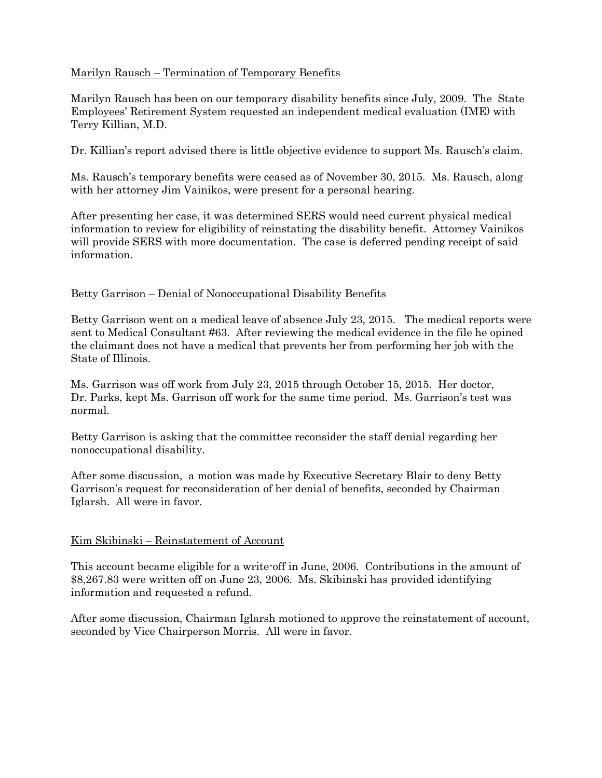## Marilyn Rausch – Termination of Temporary Benefits

Marilyn Rausch has been on our temporary disability benefits since July, 2009. The State Employees' Retirement System requested an independent medical evaluation (IME) with Terry Killian, M.D.

Dr. Killian's report advised there is little objective evidence to support Ms. Rausch's claim.

Ms. Rausch's temporary benefits were ceased as of November 30, 2015. Ms. Rausch, along with her attorney Jim Vainikos, were present for a personal hearing.

After presenting her case, it was determined SERS would need current physical medical information to review for eligibility of reinstating the disability benefit. Attorney Vainikos will provide SERS with more documentation. The case is deferred pending receipt of said information.

## Betty Garrison – Denial of Nonoccupational Disability Benefits

Betty Garrison went on a medical leave of absence July 23, 2015. The medical reports were sent to Medical Consultant #63. After reviewing the medical evidence in the file he opined the claimant does not have a medical that prevents her from performing her job with the State of Illinois.

Ms. Garrison was off work from July 23, 2015 through October 15, 2015. Her doctor, Dr. Parks, kept Ms. Garrison off work for the same time period. Ms. Garrison's test was normal.

Betty Garrison is asking that the committee reconsider the staff denial regarding her nonoccupational disability.

After some discussion, a motion was made by Executive Secretary Blair to deny Betty Garrison's request for reconsideration of her denial of benefits, seconded by Chairman Iglarsh. All were in favor.

## Kim Skibinski – Reinstatement of Account

This account became eligible for a write-off in June, 2006. Contributions in the amount of \$8,267.83 were written off on June 23, 2006. Ms. Skibinski has provided identifying information and requested a refund.

After some discussion, Chairman Iglarsh motioned to approve the reinstatement of account, seconded by Vice Chairperson Morris. All were in favor.